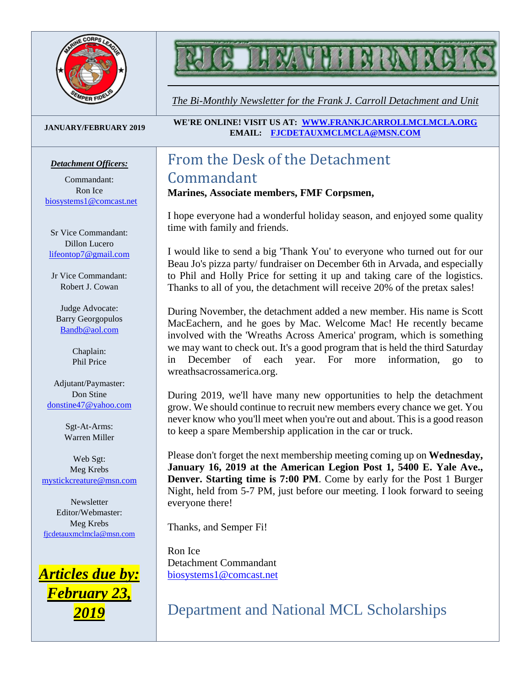

# **MAY HELMA**

*The Bi-Monthly Newsletter for the Frank J. Carroll Detachment and Unit*

#### **JANUARY/FEBRUARY 2019**

#### *Detachment Officers:*

Commandant: Ron Ice [biosystems1@comcast.net](mailto:biosystems1@comcast.net)

Sr Vice Commandant: Dillon Lucero [lifeontop7@gmail.com](mailto:lifeontop7@gmail.com)

Jr Vice Commandant: Robert J. Cowan

Judge Advocate: Barry Georgopulos [Bandb@aol.com](mailto:Bandb@aol.com)

> Chaplain: Phil Price

Adjutant/Paymaster: Don Stine [donstine47@yahoo.com](mailto:donstine47@yahoo.com)

> Sgt-At-Arms: Warren Miller

Web Sgt: Meg Krebs [mystickcreature@msn.com](mailto:mystickcreature@msn.com)

Newsletter Editor/Webmaster: Meg Krebs [fjcdetauxmclmcla@msn.com](mailto:fjcdetauxmclmcla@msn.com)



**WE'RE ONLINE! VISIT US AT: [WWW.FRANKJCARROLLMCLMCLA.ORG](http://www.frankjcarrollmclmcla.org/) EMAIL: [FJCDETAUXMCLMCLA@MSN.COM](mailto:fjcdetauxmclmcla@msn.com)** 

## From the Desk of the Detachment Commandant

### **Marines, Associate members, FMF Corpsmen,**

I hope everyone had a wonderful holiday season, and enjoyed some quality time with family and friends.

I would like to send a big 'Thank You' to everyone who turned out for our Beau Jo's pizza party/ fundraiser on December 6th in Arvada, and especially to Phil and Holly Price for setting it up and taking care of the logistics. Thanks to all of you, the detachment will receive 20% of the pretax sales!

During November, the detachment added a new member. His name is Scott MacEachern, and he goes by Mac. Welcome Mac! He recently became involved with the 'Wreaths Across America' program, which is something we may want to check out. It's a good program that is held the third Saturday in December of each year. For more information, go to wreathsacrossamerica.org.

During 2019, we'll have many new opportunities to help the detachment grow. We should continue to recruit new members every chance we get. You never know who you'll meet when you're out and about. This is a good reason to keep a spare Membership application in the car or truck.

Please don't forget the next membership meeting coming up on **Wednesday, January 16, 2019 at the American Legion Post 1, 5400 E. Yale Ave., Denver. Starting time is 7:00 PM**. Come by early for the Post 1 Burger Night, held from 5-7 PM, just before our meeting. I look forward to seeing everyone there!

Thanks, and Semper Fi!

Ron Ice Detachment Commandant [biosystems1@comcast.net](mailto:biosystems1@comcast.net)

Department and National MCL Scholarships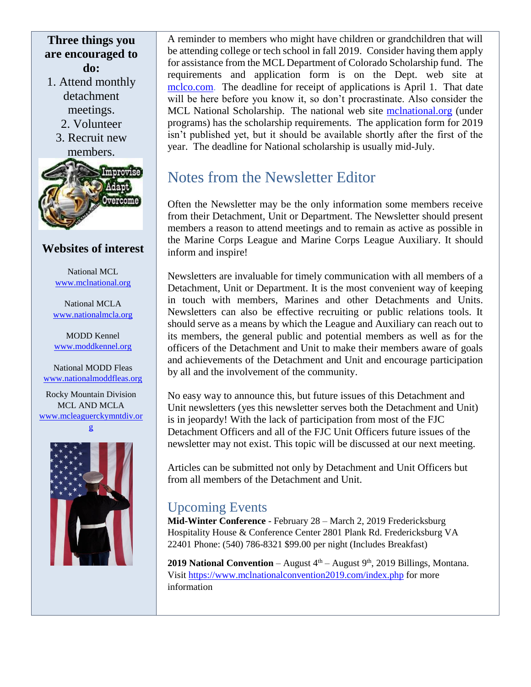## **Three things you are encouraged to do:**

- 1. Attend monthly detachment meetings.
	- 2. Volunteer
	- 3. Recruit new members.



## **Websites of interest**

National MCL [www.mclnational.org](http://www.mclnational.org/)

National MCLA [www.nationalmcla.org](http://www.nationalmcla.org/)

MODD Kennel [www.moddkennel.org](http://www.moddkennel.org/)

National MODD Fleas [www.nationalmoddfleas.org](http://www.nationalmoddfleas.org/)

Rocky Mountain Division MCL AND MCLA [www.mcleaguerckymntdiv.or](http://www.mcleaguerckymntdiv.org/)

[g](http://www.mcleaguerckymntdiv.org/)



A reminder to members who might have children or grandchildren that will be attending college or tech school in fall 2019. Consider having them apply for assistance from the MCL Department of Colorado Scholarship fund. The requirements and application form is on the Dept. web site at [mclco.com.](https://eur04.safelinks.protection.outlook.com/?url=http://mclco.com/&data=02%7c01%7c%7c7f1f89d52df547e2226a08d66846ddb2%7c84df9e7fe9f640afb435aaaaaaaaaaaa%7c1%7c0%7c636811050901182990&sdata=8v/wm%2BCkT%2Bbi3jZCesat3RM3QwbnoHlaZGzN3XTGYdU%3D&reserved=0) The deadline for receipt of applications is April 1. That date will be here before you know it, so don't procrastinate. Also consider the MCL National Scholarship. The national web site [mclnational.org](https://eur04.safelinks.protection.outlook.com/?url=http://mclnational.org/&data=02%7c01%7c%7c7f1f89d52df547e2226a08d66846ddb2%7c84df9e7fe9f640afb435aaaaaaaaaaaa%7c1%7c0%7c636811050901182990&sdata=jx8AudUcUF1pcTWAJfQ/thP/qu6doLDqtfqzzuNA9nA%3D&reserved=0) (under programs) has the scholarship requirements. The application form for 2019 isn't published yet, but it should be available shortly after the first of the year. The deadline for National scholarship is usually mid-July.

## Notes from the Newsletter Editor

Often the Newsletter may be the only information some members receive from their Detachment, Unit or Department. The Newsletter should present members a reason to attend meetings and to remain as active as possible in the Marine Corps League and Marine Corps League Auxiliary. It should inform and inspire!

Newsletters are invaluable for timely communication with all members of a Detachment, Unit or Department. It is the most convenient way of keeping in touch with members, Marines and other Detachments and Units. Newsletters can also be effective recruiting or public relations tools. It should serve as a means by which the League and Auxiliary can reach out to its members, the general public and potential members as well as for the officers of the Detachment and Unit to make their members aware of goals and achievements of the Detachment and Unit and encourage participation by all and the involvement of the community.

No easy way to announce this, but future issues of this Detachment and Unit newsletters (yes this newsletter serves both the Detachment and Unit) is in jeopardy! With the lack of participation from most of the FJC Detachment Officers and all of the FJC Unit Officers future issues of the newsletter may not exist. This topic will be discussed at our next meeting.

Articles can be submitted not only by Detachment and Unit Officers but from all members of the Detachment and Unit.

## Upcoming Events

**Mid-Winter Conference** - February 28 – March 2, 2019 Fredericksburg Hospitality House & Conference Center 2801 Plank Rd. Fredericksburg VA 22401 Phone: (540) 786-8321 \$99.00 per night (Includes Breakfast)

**2019 National Convention** – August  $4<sup>th</sup>$  – August  $9<sup>th</sup>$ , 2019 Billings, Montana. Visit<https://www.mclnationalconvention2019.com/index.php> for more information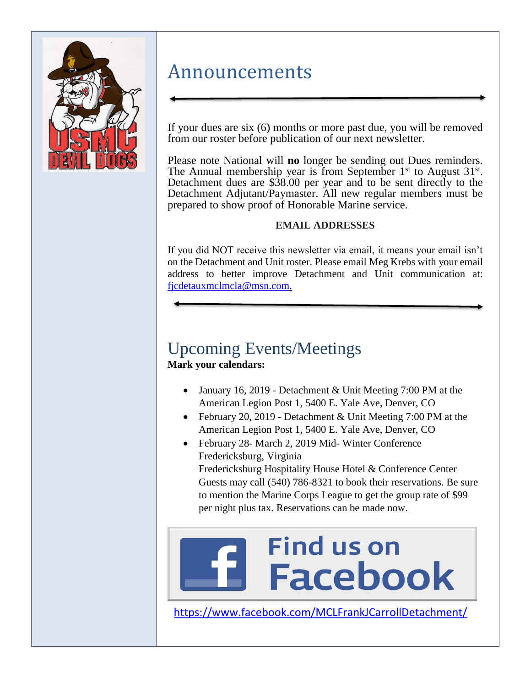

## Announcements

If your dues are six (6) months or more past due, you will be removed from our roster before publication of our next newsletter.

Please note National will **no** longer be sending out Dues reminders. The Annual membership year is from September  $1<sup>st</sup>$  to August  $31<sup>st</sup>$ . Detachment dues are \$38.00 per year and to be sent directly to the Detachment Adjutant/Paymaster. All new regular members must be prepared to show proof of Honorable Marine service.

### **EMAIL ADDRESSES**

If you did NOT receive this newsletter via email, it means your email isn't on the Detachment and Unit roster. Please email Meg Krebs with your email address to better improve Detachment and Unit communication at: [fjcdetauxmclmcla@msn.com.](mailto:fjcdetauxmclmcla@msn.com)

# Upcoming Events/Meetings

**Mark your calendars:**

- January 16, 2019 Detachment & Unit Meeting 7:00 PM at the American Legion Post 1, 5400 E. Yale Ave, Denver, CO
- February 20, 2019 Detachment & Unit Meeting 7:00 PM at the American Legion Post 1, 5400 E. Yale Ave, Denver, CO
- February 28- March 2, 2019 Mid- Winter Conference Fredericksburg, Virginia

Fredericksburg Hospitality House Hotel & Conference Center Guests may call (540) 786-8321 to book their reservations. Be sure to mention the Marine Corps League to get the group rate of \$99 per night plus tax. Reservations can be made now.

# **Find us on Facebook**

<https://www.facebook.com/MCLFrankJCarrollDetachment/>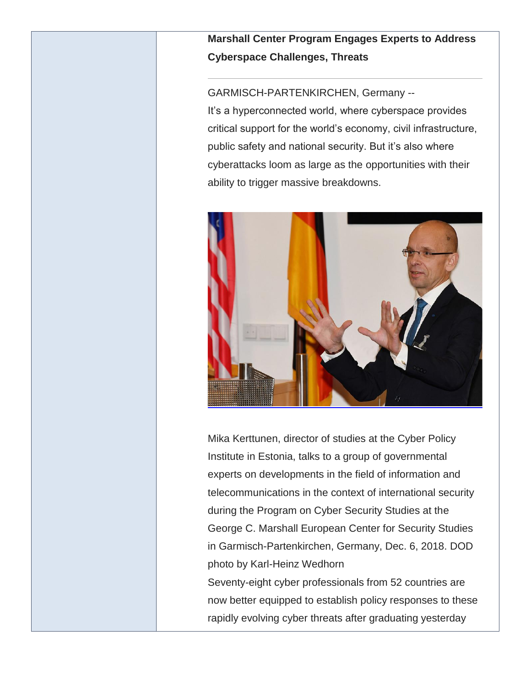**Marshall Center Program Engages Experts to Address Cyberspace Challenges, Threats**

GARMISCH-PARTENKIRCHEN, Germany --

It's a hyperconnected world, where cyberspace provides critical support for the world's economy, civil infrastructure, public safety and national security. But it's also where cyberattacks loom as large as the opportunities with their ability to trigger massive breakdowns.



Mika Kerttunen, director of studies at the Cyber Policy Institute in Estonia, talks to a group of governmental experts on developments in the field of information and telecommunications in the context of international security during the Program on Cyber Security Studies at the George C. Marshall European Center for Security Studies in Garmisch-Partenkirchen, Germany, Dec. 6, 2018. DOD photo by Karl-Heinz Wedhorn Seventy-eight cyber professionals from 52 countries are

now better equipped to establish policy responses to these rapidly evolving cyber threats after graduating yesterday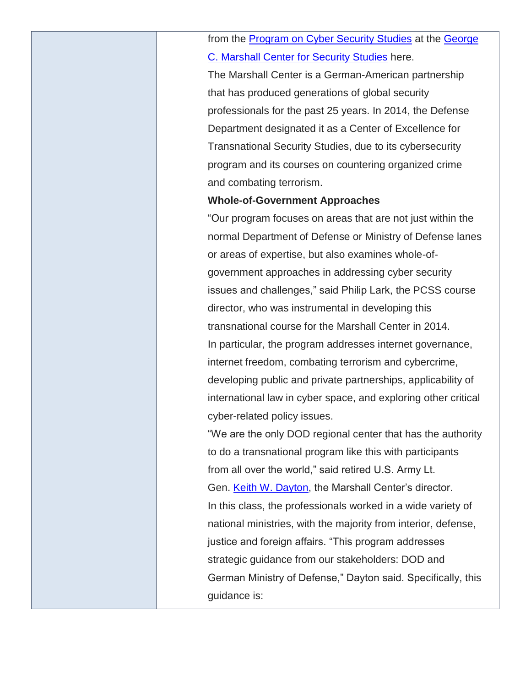from the [Program on Cyber Security Studies](https://www.marshallcenter.org/mcpublicweb/en/nav-main-wwd-res-courses-pcss-en.html) at the [George](https://www.marshallcenter.org/mcpublicweb/en/)  [C. Marshall Center for Security Studies](https://www.marshallcenter.org/mcpublicweb/en/) here.

The Marshall Center is a German-American partnership that has produced generations of global security professionals for the past 25 years. In 2014, the Defense Department designated it as a Center of Excellence for Transnational Security Studies, due to its cybersecurity program and its courses on countering organized crime and combating terrorism.

### **Whole-of-Government Approaches**

"Our program focuses on areas that are not just within the normal Department of Defense or Ministry of Defense lanes or areas of expertise, but also examines whole-ofgovernment approaches in addressing cyber security issues and challenges," said Philip Lark, the PCSS course director, who was instrumental in developing this transnational course for the Marshall Center in 2014. In particular, the program addresses internet governance, internet freedom, combating terrorism and cybercrime, developing public and private partnerships, applicability of international law in cyber space, and exploring other critical cyber-related policy issues.

"We are the only DOD regional center that has the authority to do a transnational program like this with participants from all over the world," said retired U.S. Army Lt. Gen. [Keith W. Dayton,](https://www.marshallcenter.org/mcpublicweb/en/nav-itemid-fix-bios-en/104-cat-bios-command-en/977-art-bio-dayton-keith-en.html) the Marshall Center's director. In this class, the professionals worked in a wide variety of national ministries, with the majority from interior, defense, justice and foreign affairs. "This program addresses strategic guidance from our stakeholders: DOD and German Ministry of Defense," Dayton said. Specifically, this guidance is: